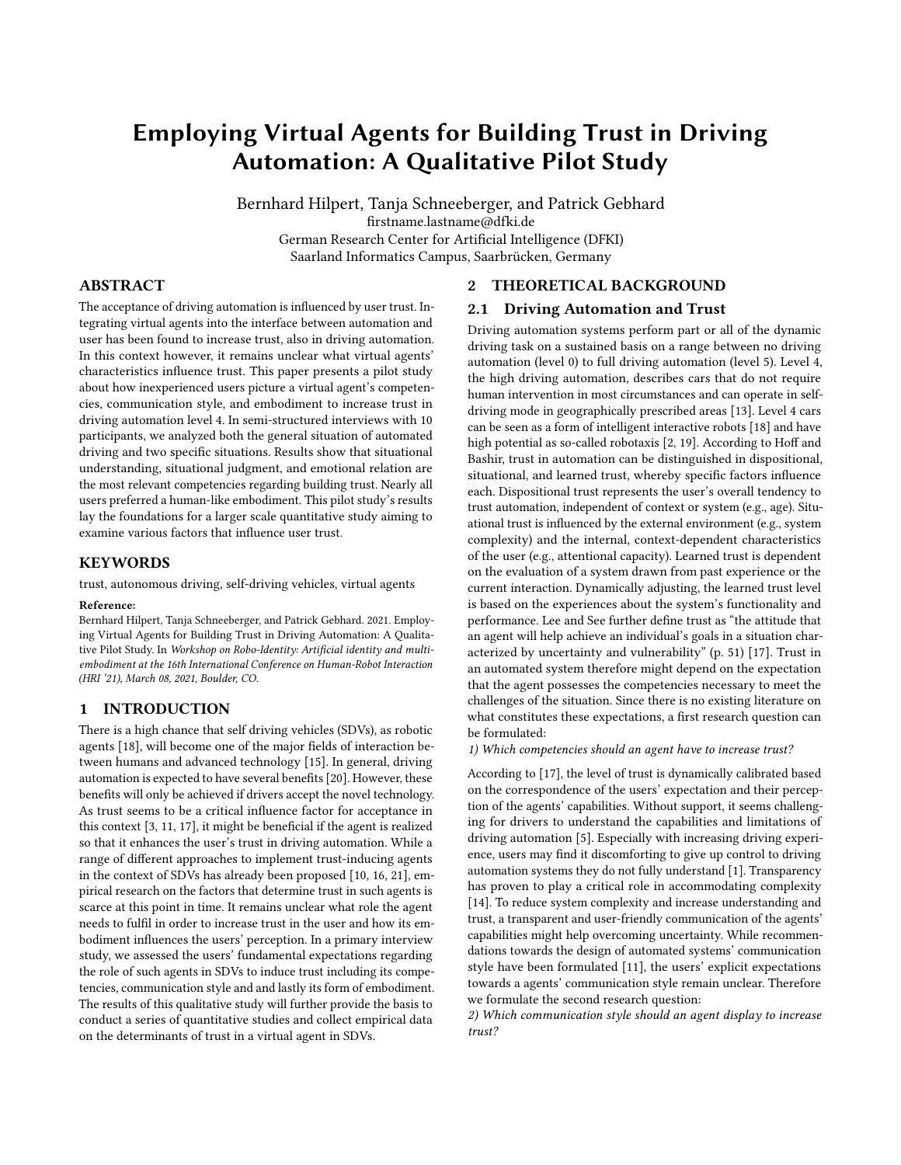# Employing Virtual Agents for Building Trust in Driving Automation: A Qualitative Pilot Study

Bernhard Hilpert, Tanja Schneeberger, and Patrick Gebhard firstname.lastname@dfki.de German Research Center for Artificial Intelligence (DFKI) Saarland Informatics Campus, Saarbrücken, Germany

## ABSTRACT

The acceptance of driving automation is influenced by user trust. Integrating virtual agents into the interface between automation and user has been found to increase trust, also in driving automation. In this context however, it remains unclear what virtual agents' characteristics influence trust. This paper presents a pilot study about how inexperienced users picture a virtual agent's competencies, communication style, and embodiment to increase trust in driving automation level 4. In semi-structured interviews with 10 participants, we analyzed both the general situation of automated driving and two specific situations. Results show that situational understanding, situational judgment, and emotional relation are the most relevant competencies regarding building trust. Nearly all users preferred a human-like embodiment. This pilot study's results lay the foundations for a larger scale quantitative study aiming to examine various factors that influence user trust.

#### **KEYWORDS**

trust, autonomous driving, self-driving vehicles, virtual agents

#### Reference:

Bernhard Hilpert, Tanja Schneeberger, and Patrick Gebhard. 2021. Employing Virtual Agents for Building Trust in Driving Automation: A Qualitative Pilot Study. In Workshop on Robo-Identity: Artificial identity and multiembodiment at the 16th International Conference on Human-Robot Interaction (HRI '21), March 08, 2021, Boulder, CO.

#### 1 INTRODUCTION

There is a high chance that self driving vehicles (SDVs), as robotic agents [\[18\]](#page-3-0), will become one of the major fields of interaction between humans and advanced technology [\[15\]](#page-3-1). In general, driving automation is expected to have several benefits [\[20\]](#page-3-2). However, these benefits will only be achieved if drivers accept the novel technology. As trust seems to be a critical influence factor for acceptance in this context [\[3,](#page-3-3) [11,](#page-3-4) [17\]](#page-3-5), it might be beneficial if the agent is realized so that it enhances the user's trust in driving automation. While a range of different approaches to implement trust-inducing agents in the context of SDVs has already been proposed [\[10,](#page-3-6) [16,](#page-3-7) [21\]](#page-3-8), empirical research on the factors that determine trust in such agents is scarce at this point in time. It remains unclear what role the agent needs to fulfil in order to increase trust in the user and how its embodiment influences the users' perception. In a primary interview study, we assessed the users' fundamental expectations regarding the role of such agents in SDVs to induce trust including its competencies, communication style and and lastly its form of embodiment. The results of this qualitative study will further provide the basis to conduct a series of quantitative studies and collect empirical data on the determinants of trust in a virtual agent in SDVs.

## 2 THEORETICAL BACKGROUND

#### 2.1 Driving Automation and Trust

Driving automation systems perform part or all of the dynamic driving task on a sustained basis on a range between no driving automation (level 0) to full driving automation (level 5). Level 4, the high driving automation, describes cars that do not require human intervention in most circumstances and can operate in selfdriving mode in geographically prescribed areas [\[13\]](#page-3-9). Level 4 cars can be seen as a form of intelligent interactive robots [\[18\]](#page-3-0) and have high potential as so-called robotaxis [\[2,](#page-3-10) [19\]](#page-3-11). According to Hoff and Bashir, trust in automation can be distinguished in dispositional, situational, and learned trust, whereby specific factors influence each. Dispositional trust represents the user's overall tendency to trust automation, independent of context or system (e.g., age). Situational trust is influenced by the external environment (e.g., system complexity) and the internal, context-dependent characteristics of the user (e.g., attentional capacity). Learned trust is dependent on the evaluation of a system drawn from past experience or the current interaction. Dynamically adjusting, the learned trust level is based on the experiences about the system's functionality and performance. Lee and See further define trust as "the attitude that an agent will help achieve an individual's goals in a situation characterized by uncertainty and vulnerability" (p. 51) [\[17\]](#page-3-5). Trust in an automated system therefore might depend on the expectation that the agent possesses the competencies necessary to meet the challenges of the situation. Since there is no existing literature on what constitutes these expectations, a first research question can be formulated:

1) Which competencies should an agent have to increase trust?

According to [\[17\]](#page-3-5), the level of trust is dynamically calibrated based on the correspondence of the users' expectation and their perception of the agents' capabilities. Without support, it seems challenging for drivers to understand the capabilities and limitations of driving automation [\[5\]](#page-3-12). Especially with increasing driving experience, users may find it discomforting to give up control to driving automation systems they do not fully understand [\[1\]](#page-3-13). Transparency has proven to play a critical role in accommodating complexity [\[14\]](#page-3-14). To reduce system complexity and increase understanding and trust, a transparent and user-friendly communication of the agents' capabilities might help overcoming uncertainty. While recommendations towards the design of automated systems' communication style have been formulated [\[11\]](#page-3-4), the users' explicit expectations towards a agents' communication style remain unclear. Therefore we formulate the second research question:

2) Which communication style should an agent display to increase trust?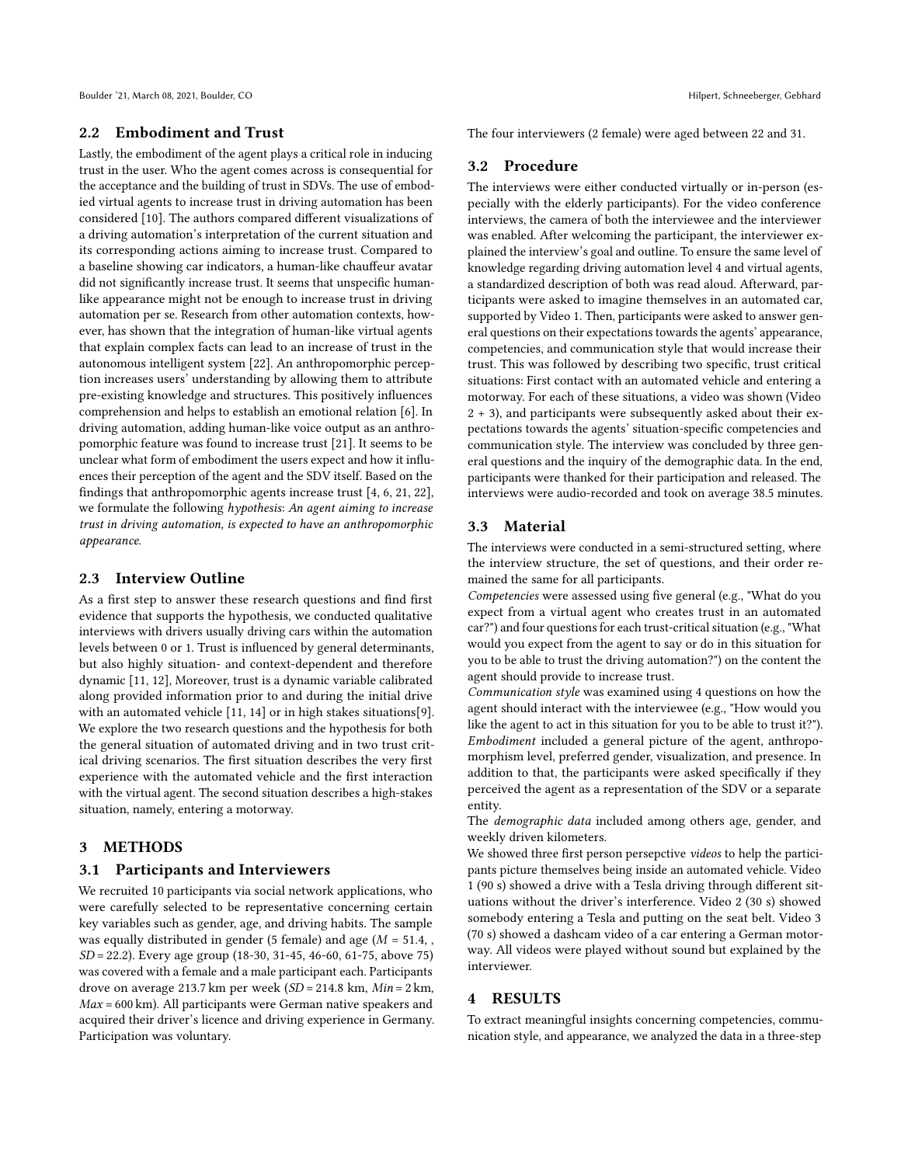### 2.2 Embodiment and Trust

Lastly, the embodiment of the agent plays a critical role in inducing trust in the user. Who the agent comes across is consequential for the acceptance and the building of trust in SDVs. The use of embodied virtual agents to increase trust in driving automation has been considered [\[10\]](#page-3-6). The authors compared different visualizations of a driving automation's interpretation of the current situation and its corresponding actions aiming to increase trust. Compared to a baseline showing car indicators, a human-like chauffeur avatar did not significantly increase trust. It seems that unspecific humanlike appearance might not be enough to increase trust in driving automation per se. Research from other automation contexts, however, has shown that the integration of human-like virtual agents that explain complex facts can lead to an increase of trust in the autonomous intelligent system [\[22\]](#page-3-15). An anthropomorphic perception increases users' understanding by allowing them to attribute pre-existing knowledge and structures. This positively influences comprehension and helps to establish an emotional relation [\[6\]](#page-3-16). In driving automation, adding human-like voice output as an anthropomorphic feature was found to increase trust [\[21\]](#page-3-8). It seems to be unclear what form of embodiment the users expect and how it influences their perception of the agent and the SDV itself. Based on the findings that anthropomorphic agents increase trust [\[4,](#page-3-17) [6,](#page-3-16) [21,](#page-3-8) [22\]](#page-3-15), we formulate the following hypothesis: An agent aiming to increase trust in driving automation, is expected to have an anthropomorphic appearance.

#### 2.3 Interview Outline

As a first step to answer these research questions and find first evidence that supports the hypothesis, we conducted qualitative interviews with drivers usually driving cars within the automation levels between 0 or 1. Trust is influenced by general determinants, but also highly situation- and context-dependent and therefore dynamic [\[11,](#page-3-4) [12\]](#page-3-18), Moreover, trust is a dynamic variable calibrated along provided information prior to and during the initial drive with an automated vehicle [\[11,](#page-3-4) [14\]](#page-3-14) or in high stakes situations[\[9\]](#page-3-19). We explore the two research questions and the hypothesis for both the general situation of automated driving and in two trust critical driving scenarios. The first situation describes the very first experience with the automated vehicle and the first interaction with the virtual agent. The second situation describes a high-stakes situation, namely, entering a motorway.

#### 3 METHODS

#### 3.1 Participants and Interviewers

We recruited 10 participants via social network applications, who were carefully selected to be representative concerning certain key variables such as gender, age, and driving habits. The sample was equally distributed in gender (5 female) and age ( $M = 51.4$ , SD = 22.2). Every age group (18-30, 31-45, 46-60, 61-75, above 75) was covered with a female and a male participant each. Participants drove on average 213.7 km per week (SD = 214.8 km, Min = 2 km,  $Max = 600$  km). All participants were German native speakers and acquired their driver's licence and driving experience in Germany. Participation was voluntary.

The four interviewers (2 female) were aged between 22 and 31.

### 3.2 Procedure

The interviews were either conducted virtually or in-person (especially with the elderly participants). For the video conference interviews, the camera of both the interviewee and the interviewer was enabled. After welcoming the participant, the interviewer explained the interview's goal and outline. To ensure the same level of knowledge regarding driving automation level 4 and virtual agents, a standardized description of both was read aloud. Afterward, participants were asked to imagine themselves in an automated car, supported by Video 1. Then, participants were asked to answer general questions on their expectations towards the agents' appearance, competencies, and communication style that would increase their trust. This was followed by describing two specific, trust critical situations: First contact with an automated vehicle and entering a motorway. For each of these situations, a video was shown (Video 2 + 3), and participants were subsequently asked about their expectations towards the agents' situation-specific competencies and communication style. The interview was concluded by three general questions and the inquiry of the demographic data. In the end, participants were thanked for their participation and released. The interviews were audio-recorded and took on average 38.5 minutes.

#### 3.3 Material

The interviews were conducted in a semi-structured setting, where the interview structure, the set of questions, and their order remained the same for all participants.

Competencies were assessed using five general (e.g., "What do you expect from a virtual agent who creates trust in an automated car?") and four questions for each trust-critical situation (e.g., "What would you expect from the agent to say or do in this situation for you to be able to trust the driving automation?") on the content the agent should provide to increase trust.

Communication style was examined using 4 questions on how the agent should interact with the interviewee (e.g., "How would you like the agent to act in this situation for you to be able to trust it?"). Embodiment included a general picture of the agent, anthropomorphism level, preferred gender, visualization, and presence. In addition to that, the participants were asked specifically if they perceived the agent as a representation of the SDV or a separate entity.

The demographic data included among others age, gender, and weekly driven kilometers.

We showed three first person persepctive videos to help the participants picture themselves being inside an automated vehicle. Video 1 (90 s) showed a drive with a Tesla driving through different situations without the driver's interference. Video 2 (30 s) showed somebody entering a Tesla and putting on the seat belt. Video 3 (70 s) showed a dashcam video of a car entering a German motorway. All videos were played without sound but explained by the interviewer.

#### 4 RESULTS

To extract meaningful insights concerning competencies, communication style, and appearance, we analyzed the data in a three-step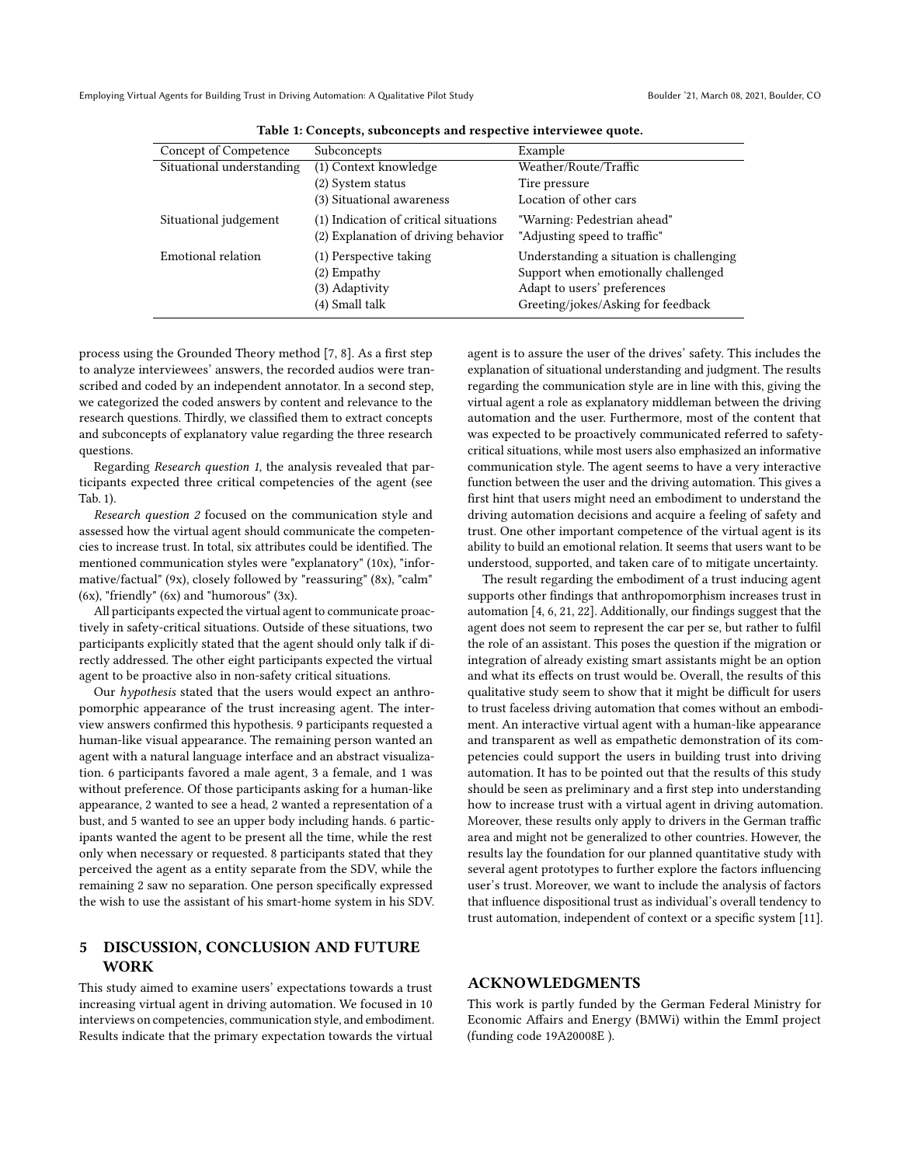<span id="page-2-0"></span>Employing Virtual Agents for Building Trust in Driving Automation: A Qualitative Pilot Study Boulder '21, March 08, 2021, Boulder, CO

| Concept of Competence     | Subconcepts                           | Example                                  |
|---------------------------|---------------------------------------|------------------------------------------|
| Situational understanding | $\overline{(1)$ Context knowledge     | Weather/Route/Traffic                    |
|                           | (2) System status                     | Tire pressure                            |
|                           | (3) Situational awareness             | Location of other cars                   |
| Situational judgement     | (1) Indication of critical situations | "Warning: Pedestrian ahead"              |
|                           | (2) Explanation of driving behavior   | "Adjusting speed to traffic"             |
| Emotional relation        | (1) Perspective taking                | Understanding a situation is challenging |
|                           | (2) Empathy                           | Support when emotionally challenged      |
|                           | (3) Adaptivity                        | Adapt to users' preferences              |
|                           | (4) Small talk                        | Greeting/jokes/Asking for feedback       |

Table 1: Concepts, subconcepts and respective interviewee quote.

process using the Grounded Theory method [\[7,](#page-3-20) [8\]](#page-3-21). As a first step to analyze interviewees' answers, the recorded audios were transcribed and coded by an independent annotator. In a second step, we categorized the coded answers by content and relevance to the research questions. Thirdly, we classified them to extract concepts and subconcepts of explanatory value regarding the three research questions.

Regarding Research question 1, the analysis revealed that participants expected three critical competencies of the agent (see Tab. [1\)](#page-2-0).

Research question 2 focused on the communication style and assessed how the virtual agent should communicate the competencies to increase trust. In total, six attributes could be identified. The mentioned communication styles were "explanatory" (10x), "informative/factual" (9x), closely followed by "reassuring" (8x), "calm"  $(6x)$ , "friendly"  $(6x)$  and "humorous"  $(3x)$ .

All participants expected the virtual agent to communicate proactively in safety-critical situations. Outside of these situations, two participants explicitly stated that the agent should only talk if directly addressed. The other eight participants expected the virtual agent to be proactive also in non-safety critical situations.

Our hypothesis stated that the users would expect an anthropomorphic appearance of the trust increasing agent. The interview answers confirmed this hypothesis. 9 participants requested a human-like visual appearance. The remaining person wanted an agent with a natural language interface and an abstract visualization. 6 participants favored a male agent, 3 a female, and 1 was without preference. Of those participants asking for a human-like appearance, 2 wanted to see a head, 2 wanted a representation of a bust, and 5 wanted to see an upper body including hands. 6 participants wanted the agent to be present all the time, while the rest only when necessary or requested. 8 participants stated that they perceived the agent as a entity separate from the SDV, while the remaining 2 saw no separation. One person specifically expressed the wish to use the assistant of his smart-home system in his SDV.

## 5 DISCUSSION, CONCLUSION AND FUTURE WORK

This study aimed to examine users' expectations towards a trust increasing virtual agent in driving automation. We focused in 10 interviews on competencies, communication style, and embodiment. Results indicate that the primary expectation towards the virtual

agent is to assure the user of the drives' safety. This includes the explanation of situational understanding and judgment. The results regarding the communication style are in line with this, giving the virtual agent a role as explanatory middleman between the driving automation and the user. Furthermore, most of the content that was expected to be proactively communicated referred to safetycritical situations, while most users also emphasized an informative communication style. The agent seems to have a very interactive function between the user and the driving automation. This gives a first hint that users might need an embodiment to understand the driving automation decisions and acquire a feeling of safety and trust. One other important competence of the virtual agent is its ability to build an emotional relation. It seems that users want to be understood, supported, and taken care of to mitigate uncertainty.

The result regarding the embodiment of a trust inducing agent supports other findings that anthropomorphism increases trust in automation [\[4,](#page-3-17) [6,](#page-3-16) [21,](#page-3-8) [22\]](#page-3-15). Additionally, our findings suggest that the agent does not seem to represent the car per se, but rather to fulfil the role of an assistant. This poses the question if the migration or integration of already existing smart assistants might be an option and what its effects on trust would be. Overall, the results of this qualitative study seem to show that it might be difficult for users to trust faceless driving automation that comes without an embodiment. An interactive virtual agent with a human-like appearance and transparent as well as empathetic demonstration of its competencies could support the users in building trust into driving automation. It has to be pointed out that the results of this study should be seen as preliminary and a first step into understanding how to increase trust with a virtual agent in driving automation. Moreover, these results only apply to drivers in the German traffic area and might not be generalized to other countries. However, the results lay the foundation for our planned quantitative study with several agent prototypes to further explore the factors influencing user's trust. Moreover, we want to include the analysis of factors that influence dispositional trust as individual's overall tendency to trust automation, independent of context or a specific system [\[11\]](#page-3-4).

## ACKNOWLEDGMENTS

This work is partly funded by the German Federal Ministry for Economic Affairs and Energy (BMWi) within the EmmI project (funding code 19A20008E ).